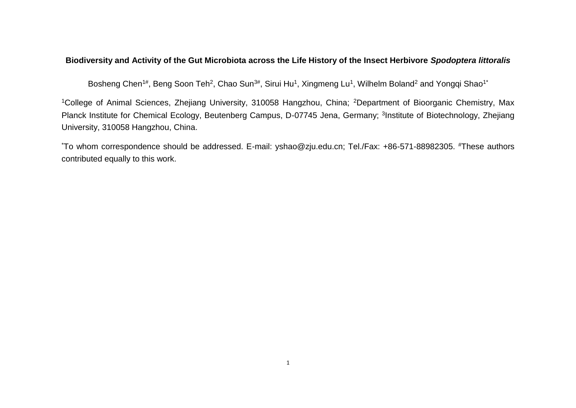## **Biodiversity and Activity of the Gut Microbiota across the Life History of the Insect Herbivore** *Spodoptera littoralis*

Bosheng Chen<sup>1#</sup>, Beng Soon Teh<sup>2</sup>, Chao Sun<sup>3#</sup>, Sirui Hu<sup>1</sup>, Xingmeng Lu<sup>1</sup>, Wilhelm Boland<sup>2</sup> and Yongqi Shao<sup>1\*</sup>

<sup>1</sup>College of Animal Sciences, Zhejiang University, 310058 Hangzhou, China; <sup>2</sup>Department of Bioorganic Chemistry, Max Planck Institute for Chemical Ecology, Beutenberg Campus, D-07745 Jena, Germany; <sup>3</sup>Institute of Biotechnology, Zhejiang University, 310058 Hangzhou, China.

\*To whom correspondence should be addressed. E-mail: yshao@zju.edu.cn; Tel./Fax: +86-571-88982305. #These authors contributed equally to this work.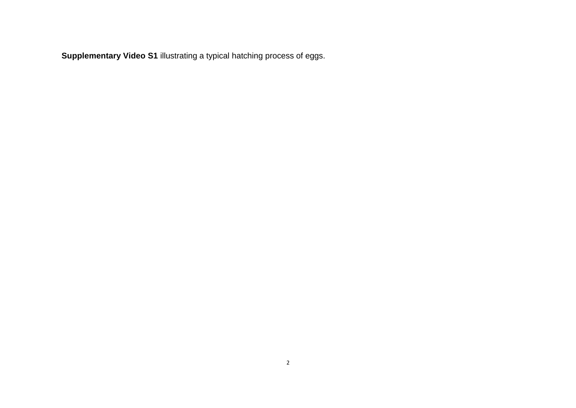**Supplementary Video S1** illustrating a typical hatching process of eggs.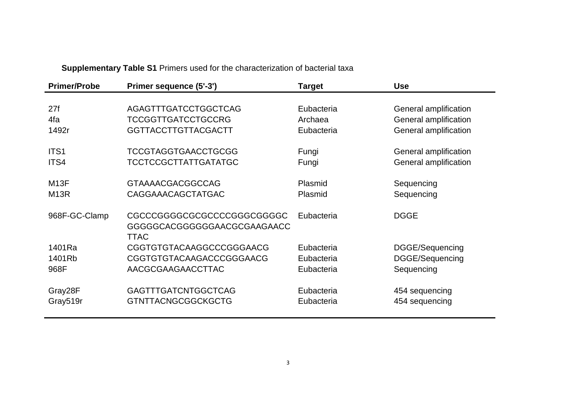**Supplementary Table S1** Primers used for the characterization of bacterial taxa

| Primer sequence (5'-3')     | <b>Target</b>                                                                                                      |                                |  |
|-----------------------------|--------------------------------------------------------------------------------------------------------------------|--------------------------------|--|
|                             |                                                                                                                    |                                |  |
| AGAGTTTGATCCTGGCTCAG        | Eubacteria                                                                                                         | General amplification          |  |
| <b>TCCGGTTGATCCTGCCRG</b>   | Archaea                                                                                                            | General amplification          |  |
| <b>GGTTACCTTGTTACGACTT</b>  | Eubacteria                                                                                                         | General amplification          |  |
|                             |                                                                                                                    |                                |  |
|                             |                                                                                                                    | General amplification          |  |
|                             | Fungi                                                                                                              | General amplification          |  |
|                             |                                                                                                                    | Sequencing                     |  |
| CAGGAAACAGCTATGAC           | Plasmid                                                                                                            | Sequencing                     |  |
|                             |                                                                                                                    |                                |  |
| CGCCCGGGGCGCGCCCCGGGCGGGGC  | Eubacteria                                                                                                         | <b>DGGE</b>                    |  |
| GGGGGCACGGGGGGAACGCGAAGAACC |                                                                                                                    |                                |  |
| TTAC                        |                                                                                                                    |                                |  |
| CGGTGTGTACAAGGCCCGGGAACG    | Eubacteria                                                                                                         | DGGE/Sequencing                |  |
| CGGTGTGTACAAGACCCGGGAACG    | Eubacteria                                                                                                         | DGGE/Sequencing                |  |
| AACGCGAAGAACCTTAC           | Eubacteria                                                                                                         | Sequencing                     |  |
|                             |                                                                                                                    |                                |  |
|                             |                                                                                                                    | 454 sequencing                 |  |
| <b>GTNTTACNGCGGCKGCTG</b>   | Eubacteria                                                                                                         | 454 sequencing                 |  |
|                             | <b>TCCGTAGGTGAACCTGCGG</b><br><b>TCCTCCGCTTATTGATATGC</b><br><b>GTAAAACGACGGCCAG</b><br><b>GAGTTTGATCNTGGCTCAG</b> | Fungi<br>Plasmid<br>Eubacteria |  |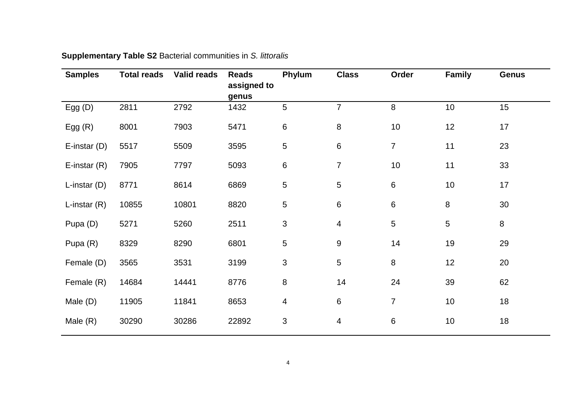| <b>Samples</b> | <b>Total reads</b> | <b>Valid reads</b> | <b>Reads</b><br>assigned to<br>genus | Phylum                  | <b>Class</b>             | Order            | <b>Family</b> | <b>Genus</b> |
|----------------|--------------------|--------------------|--------------------------------------|-------------------------|--------------------------|------------------|---------------|--------------|
| Egg $(D)$      | 2811               | 2792               | 1432                                 | 5                       | $\overline{7}$           | $\boldsymbol{8}$ | 10            | 15           |
| Egg $(R)$      | 8001               | 7903               | 5471                                 | 6                       | $\, 8$                   | 10               | 12            | 17           |
| E-instar $(D)$ | 5517               | 5509               | 3595                                 | 5                       | $\,6\,$                  | $\overline{7}$   | 11            | 23           |
| E-instar $(R)$ | 7905               | 7797               | 5093                                 | 6                       | $\overline{7}$           | 10               | 11            | 33           |
| L-instar $(D)$ | 8771               | 8614               | 6869                                 | 5                       | $\overline{5}$           | 6                | 10            | 17           |
| L-instar $(R)$ | 10855              | 10801              | 8820                                 | 5                       | $\,6\,$                  | 6                | 8             | 30           |
| Pupa (D)       | 5271               | 5260               | 2511                                 | 3                       | $\overline{\mathcal{A}}$ | 5                | 5             | 8            |
| Pupa (R)       | 8329               | 8290               | 6801                                 | 5                       | $\boldsymbol{9}$         | 14               | 19            | 29           |
| Female (D)     | 3565               | 3531               | 3199                                 | 3                       | $\overline{5}$           | 8                | 12            | 20           |
| Female (R)     | 14684              | 14441              | 8776                                 | $\,8\,$                 | 14                       | 24               | 39            | 62           |
| Male $(D)$     | 11905              | 11841              | 8653                                 | $\overline{\mathbf{4}}$ | $\,6\,$                  | $\overline{7}$   | 10            | 18           |
| Male $(R)$     | 30290              | 30286              | 22892                                | 3                       | $\overline{4}$           | 6                | $10$          | 18           |

## **Supplementary Table S2** Bacterial communities in *S. littoralis*